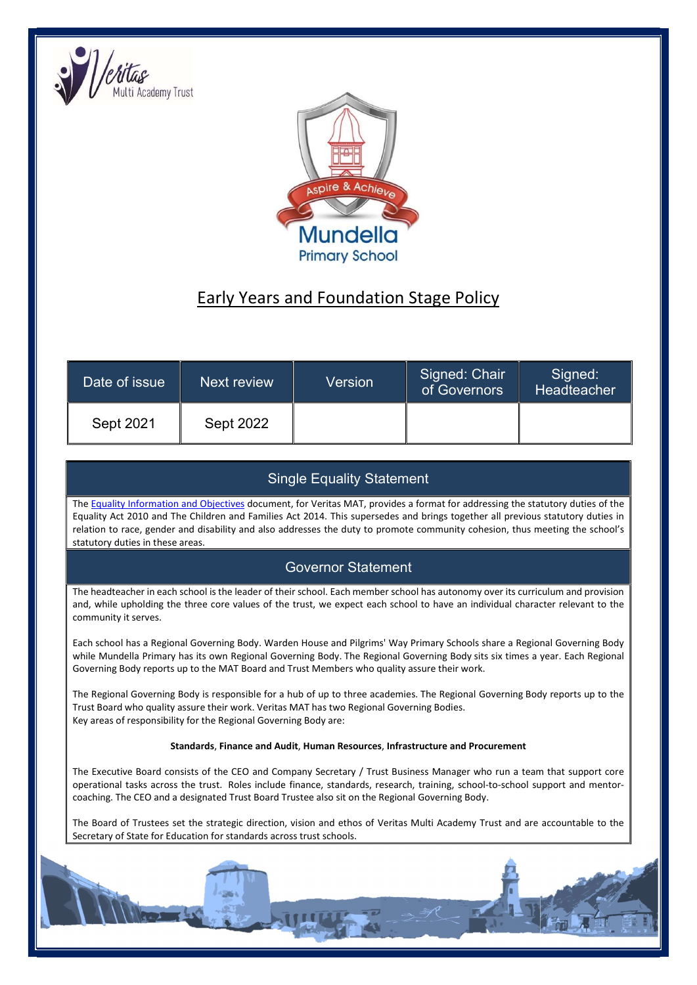



# Early Years and Foundation Stage Policy

| Date of issue | Next review      | Version | Signed: Chair<br>of Governors | Signed:<br>Headteacher |
|---------------|------------------|---------|-------------------------------|------------------------|
| Sept 2021     | <b>Sept 2022</b> |         |                               |                        |

# Single Equality Statement

The Equality Information and Objectives document, for Veritas MAT, provides a format for addressing the statutory duties of the Equality Act 2010 and The Children and Families Act 2014. This supersedes and brings together all previous statutory duties in relation to race, gender and disability and also addresses the duty to promote community cohesion, thus meeting the school's statutory duties in these areas.

# Governor Statement

The headteacher in each school is the leader of their school. Each member school has autonomy over its curriculum and provision and, while upholding the three core values of the trust, we expect each school to have an individual character relevant to the community it serves.

Each school has a Regional Governing Body. Warden House and Pilgrims' Way Primary Schools share a Regional Governing Body while Mundella Primary has its own Regional Governing Body. The Regional Governing Body sits six times a year. Each Regional Governing Body reports up to the MAT Board and Trust Members who quality assure their work.

The Regional Governing Body is responsible for a hub of up to three academies. The Regional Governing Body reports up to the Trust Board who quality assure their work. Veritas MAT has two Regional Governing Bodies. Key areas of responsibility for the Regional Governing Body are:

# Standards, Finance and Audit, Human Resources, Infrastructure and Procurement

The Executive Board consists of the CEO and Company Secretary / Trust Business Manager who run a team that support core operational tasks across the trust. Roles include finance, standards, research, training, school-to-school support and mentorcoaching. The CEO and a designated Trust Board Trustee also sit on the Regional Governing Body.

The Board of Trustees set the strategic direction, vision and ethos of Veritas Multi Academy Trust and are accountable to the Secretary of State for Education for standards across trust schools.

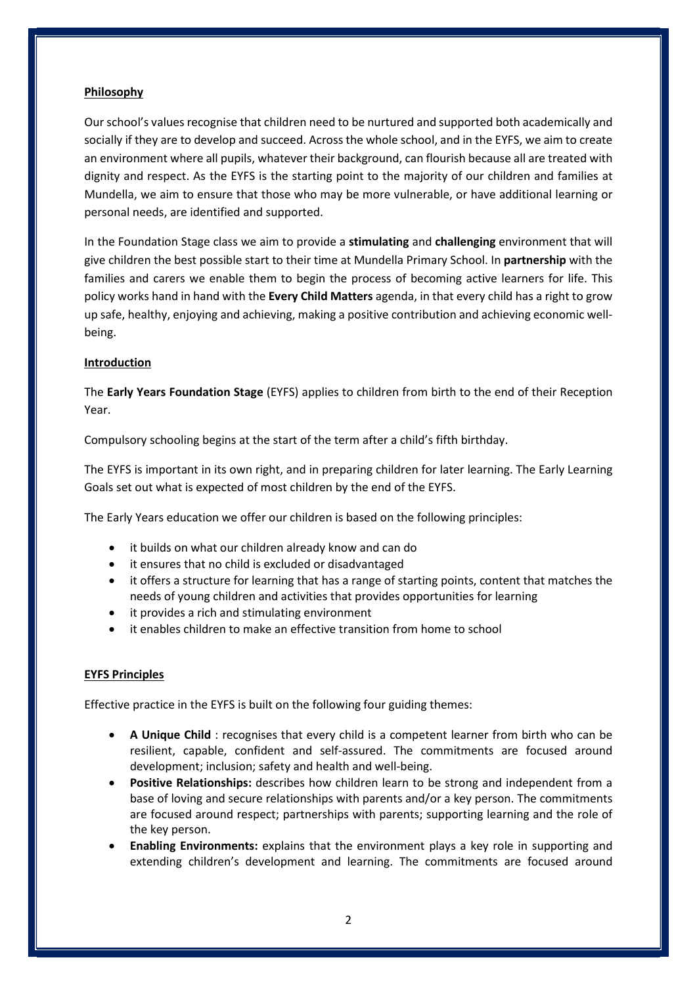# Philosophy

Our school's values recognise that children need to be nurtured and supported both academically and socially if they are to develop and succeed. Across the whole school, and in the EYFS, we aim to create an environment where all pupils, whatever their background, can flourish because all are treated with dignity and respect. As the EYFS is the starting point to the majority of our children and families at Mundella, we aim to ensure that those who may be more vulnerable, or have additional learning or personal needs, are identified and supported.

In the Foundation Stage class we aim to provide a stimulating and challenging environment that will give children the best possible start to their time at Mundella Primary School. In **partnership** with the families and carers we enable them to begin the process of becoming active learners for life. This policy works hand in hand with the Every Child Matters agenda, in that every child has a right to grow up safe, healthy, enjoying and achieving, making a positive contribution and achieving economic wellbeing.

# Introduction

The Early Years Foundation Stage (EYFS) applies to children from birth to the end of their Reception Year.

Compulsory schooling begins at the start of the term after a child's fifth birthday.

The EYFS is important in its own right, and in preparing children for later learning. The Early Learning Goals set out what is expected of most children by the end of the EYFS.

The Early Years education we offer our children is based on the following principles:

- it builds on what our children already know and can do
- it ensures that no child is excluded or disadvantaged
- it offers a structure for learning that has a range of starting points, content that matches the needs of young children and activities that provides opportunities for learning
- it provides a rich and stimulating environment
- it enables children to make an effective transition from home to school

# EYFS Principles

Effective practice in the EYFS is built on the following four guiding themes:

- A Unique Child : recognises that every child is a competent learner from birth who can be resilient, capable, confident and self-assured. The commitments are focused around development; inclusion; safety and health and well-being.
- Positive Relationships: describes how children learn to be strong and independent from a base of loving and secure relationships with parents and/or a key person. The commitments are focused around respect; partnerships with parents; supporting learning and the role of the key person.
- Enabling Environments: explains that the environment plays a key role in supporting and extending children's development and learning. The commitments are focused around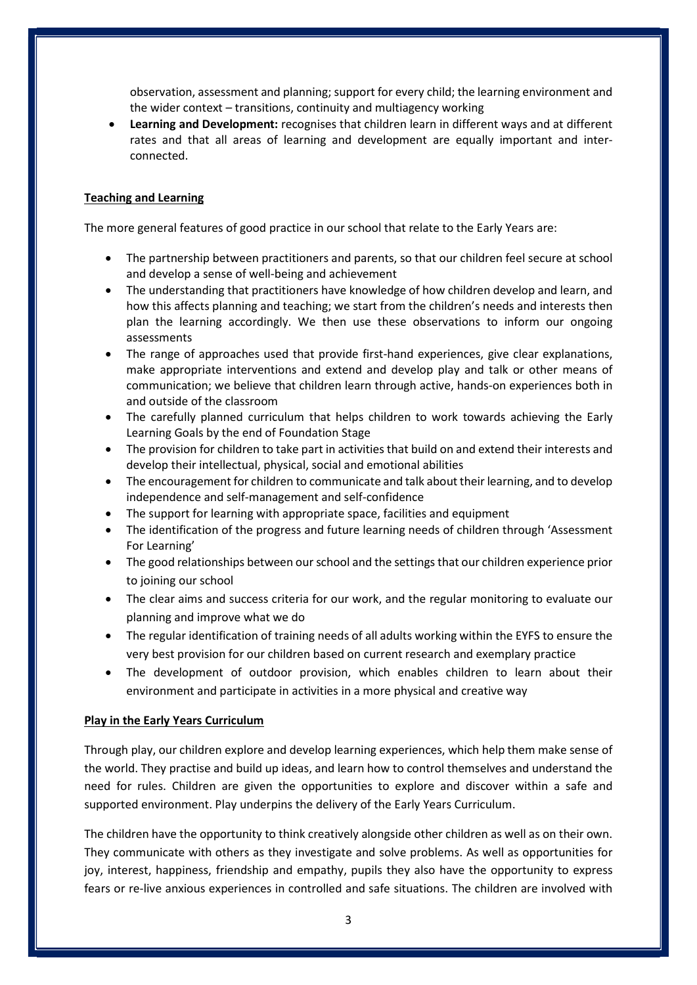observation, assessment and planning; support for every child; the learning environment and the wider context – transitions, continuity and multiagency working

 Learning and Development: recognises that children learn in different ways and at different rates and that all areas of learning and development are equally important and interconnected.

# Teaching and Learning

The more general features of good practice in our school that relate to the Early Years are:

- The partnership between practitioners and parents, so that our children feel secure at school and develop a sense of well-being and achievement
- The understanding that practitioners have knowledge of how children develop and learn, and how this affects planning and teaching; we start from the children's needs and interests then plan the learning accordingly. We then use these observations to inform our ongoing assessments
- The range of approaches used that provide first-hand experiences, give clear explanations, make appropriate interventions and extend and develop play and talk or other means of communication; we believe that children learn through active, hands-on experiences both in and outside of the classroom
- The carefully planned curriculum that helps children to work towards achieving the Early Learning Goals by the end of Foundation Stage
- The provision for children to take part in activities that build on and extend their interests and develop their intellectual, physical, social and emotional abilities
- The encouragement for children to communicate and talk about their learning, and to develop independence and self-management and self-confidence
- The support for learning with appropriate space, facilities and equipment
- The identification of the progress and future learning needs of children through 'Assessment For Learning'
- The good relationships between our school and the settings that our children experience prior to joining our school
- The clear aims and success criteria for our work, and the regular monitoring to evaluate our planning and improve what we do
- The regular identification of training needs of all adults working within the EYFS to ensure the very best provision for our children based on current research and exemplary practice
- The development of outdoor provision, which enables children to learn about their environment and participate in activities in a more physical and creative way

#### Play in the Early Years Curriculum

Through play, our children explore and develop learning experiences, which help them make sense of the world. They practise and build up ideas, and learn how to control themselves and understand the need for rules. Children are given the opportunities to explore and discover within a safe and supported environment. Play underpins the delivery of the Early Years Curriculum.

The children have the opportunity to think creatively alongside other children as well as on their own. They communicate with others as they investigate and solve problems. As well as opportunities for joy, interest, happiness, friendship and empathy, pupils they also have the opportunity to express fears or re-live anxious experiences in controlled and safe situations. The children are involved with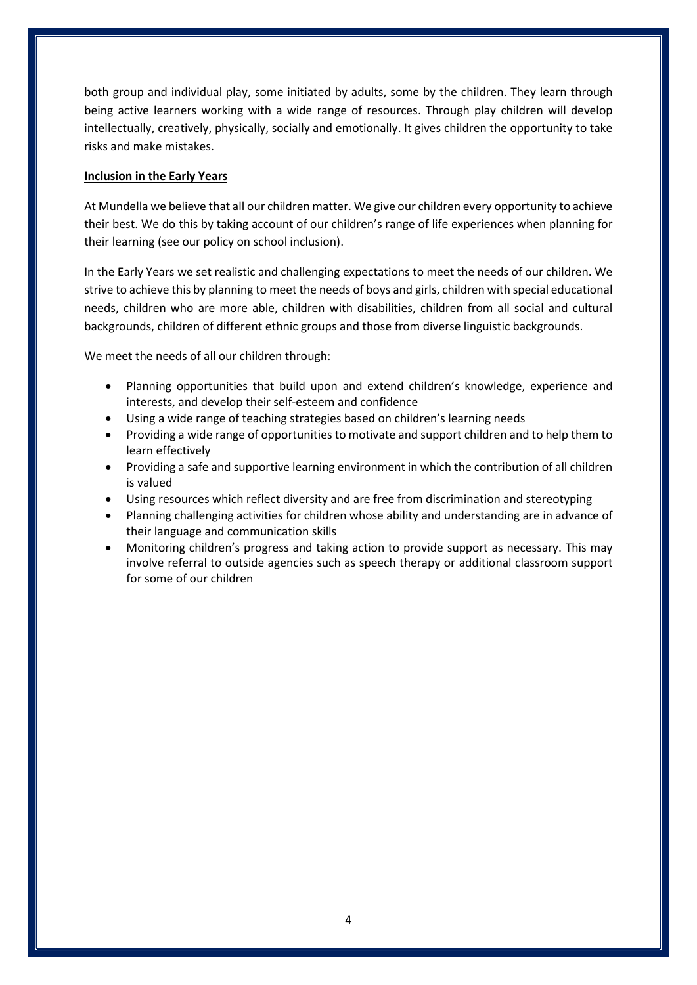both group and individual play, some initiated by adults, some by the children. They learn through being active learners working with a wide range of resources. Through play children will develop intellectually, creatively, physically, socially and emotionally. It gives children the opportunity to take risks and make mistakes.

# Inclusion in the Early Years

At Mundella we believe that all our children matter. We give our children every opportunity to achieve their best. We do this by taking account of our children's range of life experiences when planning for their learning (see our policy on school inclusion).

In the Early Years we set realistic and challenging expectations to meet the needs of our children. We strive to achieve this by planning to meet the needs of boys and girls, children with special educational needs, children who are more able, children with disabilities, children from all social and cultural backgrounds, children of different ethnic groups and those from diverse linguistic backgrounds.

We meet the needs of all our children through:

- Planning opportunities that build upon and extend children's knowledge, experience and interests, and develop their self-esteem and confidence
- Using a wide range of teaching strategies based on children's learning needs
- Providing a wide range of opportunities to motivate and support children and to help them to learn effectively
- Providing a safe and supportive learning environment in which the contribution of all children is valued
- Using resources which reflect diversity and are free from discrimination and stereotyping
- Planning challenging activities for children whose ability and understanding are in advance of their language and communication skills
- Monitoring children's progress and taking action to provide support as necessary. This may involve referral to outside agencies such as speech therapy or additional classroom support for some of our children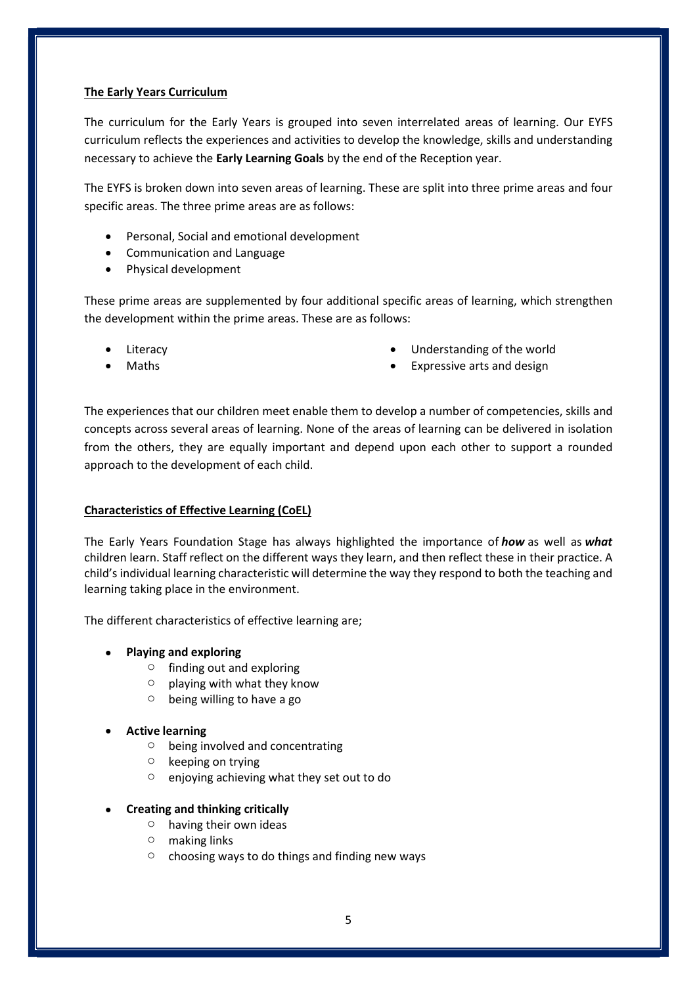# The Early Years Curriculum

The curriculum for the Early Years is grouped into seven interrelated areas of learning. Our EYFS curriculum reflects the experiences and activities to develop the knowledge, skills and understanding necessary to achieve the Early Learning Goals by the end of the Reception year.

The EYFS is broken down into seven areas of learning. These are split into three prime areas and four specific areas. The three prime areas are as follows:

- Personal, Social and emotional development
- Communication and Language
- Physical development

These prime areas are supplemented by four additional specific areas of learning, which strengthen the development within the prime areas. These are as follows:

- Literacy
- Maths
- Understanding of the world
- Expressive arts and design

The experiences that our children meet enable them to develop a number of competencies, skills and concepts across several areas of learning. None of the areas of learning can be delivered in isolation from the others, they are equally important and depend upon each other to support a rounded approach to the development of each child.

# Characteristics of Effective Learning (CoEL)

The Early Years Foundation Stage has always highlighted the importance of how as well as what children learn. Staff reflect on the different ways they learn, and then reflect these in their practice. A child's individual learning characteristic will determine the way they respond to both the teaching and learning taking place in the environment.

The different characteristics of effective learning are;

- Playing and exploring
	- $\circ$  finding out and exploring
	- $\circ$  playing with what they know
	- $\circ$  being willing to have a go
- Active learning
	- o being involved and concentrating
	- o keeping on trying
	- o enjoying achieving what they set out to do

# Creating and thinking critically

- o having their own ideas
- o making links
- $\circ$  choosing ways to do things and finding new ways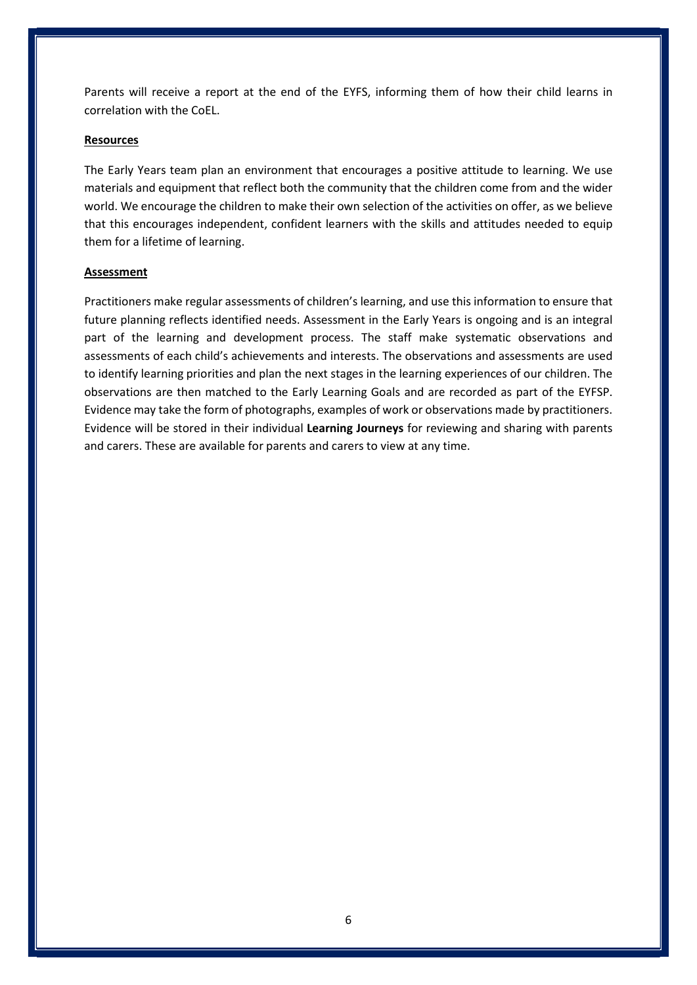Parents will receive a report at the end of the EYFS, informing them of how their child learns in correlation with the CoEL.

# Resources

The Early Years team plan an environment that encourages a positive attitude to learning. We use materials and equipment that reflect both the community that the children come from and the wider world. We encourage the children to make their own selection of the activities on offer, as we believe that this encourages independent, confident learners with the skills and attitudes needed to equip them for a lifetime of learning.

#### Assessment

Practitioners make regular assessments of children's learning, and use this information to ensure that future planning reflects identified needs. Assessment in the Early Years is ongoing and is an integral part of the learning and development process. The staff make systematic observations and assessments of each child's achievements and interests. The observations and assessments are used to identify learning priorities and plan the next stages in the learning experiences of our children. The observations are then matched to the Early Learning Goals and are recorded as part of the EYFSP. Evidence may take the form of photographs, examples of work or observations made by practitioners. Evidence will be stored in their individual Learning Journeys for reviewing and sharing with parents and carers. These are available for parents and carers to view at any time.